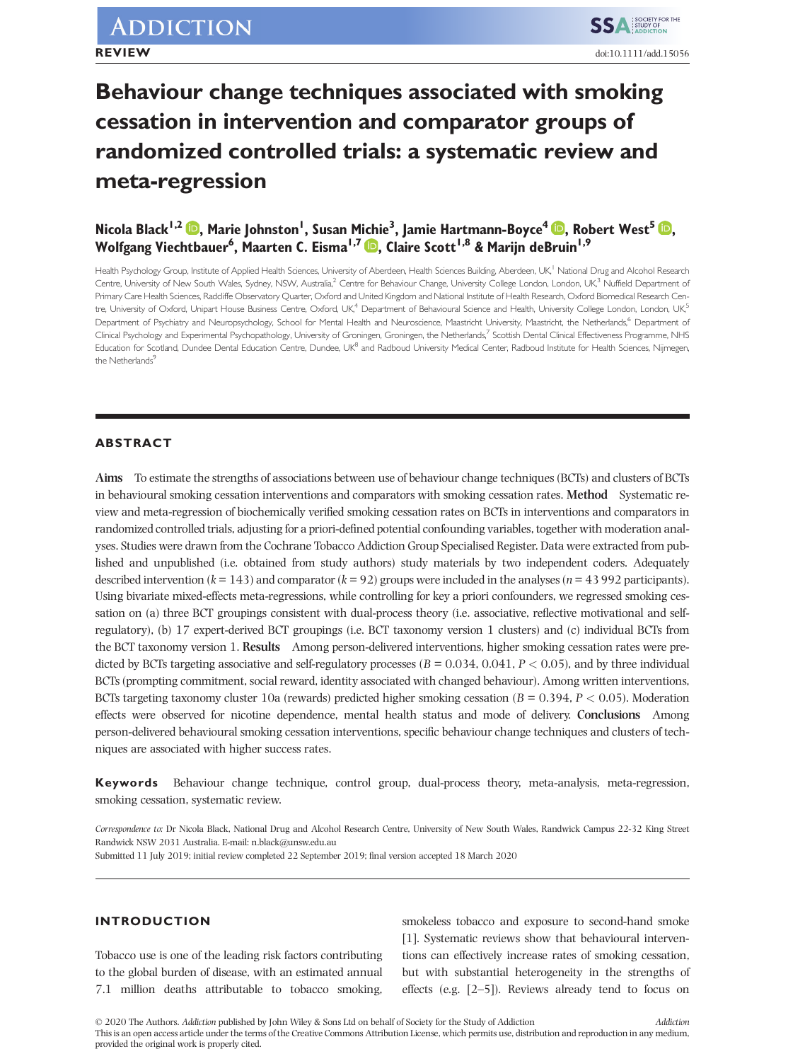# **Behaviour change techniques associated with smoking cessation in intervention and comparator groups of randomized controlled trials: a systematic review and meta-regression**

# $\bf{N}$ icola Black<sup>1[,](https://orcid.org/0000-0001-6398-0921)2</sup>  $\bf{D}$ , Marie Johnston<sup>1</sup>, Susan Michie $^3$ , Jamie Hartmann-Boyce $^4$   $\bf{D}$ , Robert West $^5$   $\bf{D}$ , **Wolfgang Viechtbauer6 , Maarten C. Eisma1,7 [,](https://orcid.org/0000-0002-6109-2274) Claire Scott1,8 & Marijn deBruin1,9**

Health Psychology Group, Institute of Applied Health Sciences, University of Aberdeen, Health Sciences Building, Aberdeen, UK,<sup>1</sup> National Drug and Alcohol Research Centre, University of New South Wales, Sydney, NSW, Australia,<sup>2</sup> Centre for Behaviour Change, University College London, London, UK,<sup>3</sup> Nuffield Department of Primary Care Health Sciences, Radcliffe Observatory Quarter, Oxford and United Kingdom and National Institute of Health Research, Oxford Biomedical Research Centre, University of Oxford, Unipart House Business Centre, Oxford, UK,<sup>4</sup> Department of Behavioural Science and Health, University College London, London, UK,<sup>5</sup> Department of Psychiatry and Neuropsychology, School for Mental Health and Neuroscience, Maastricht University, Maastricht, the Netherlands, <sup>6</sup> Department of Clinical Psychology and Experimental Psychopathology, University of Groningen, Groningen, the Netherlands,<sup>7</sup> Scottish Dental Clinical Effectiveness Programme, NHS Education for Scotland, Dundee Dental Education Centre, Dundee, UK8 and Radboud University Medical Center, Radboud Institute for Health Sciences, Nijmegen, the Netherlands<sup>9</sup>

# **ABSTRACT**

**Aims** To estimate the strengths of associations between use of behaviour change techniques (BCTs) and clusters of BCTs in behavioural smoking cessation interventions and comparators with smoking cessation rates. **Method** Systematic review and meta-regression of biochemically verified smoking cessation rates on BCTs in interventions and comparators in randomized controlled trials, adjusting for a priori-defined potential confounding variables, together with moderation analyses. Studies were drawn from the Cochrane Tobacco Addiction Group Specialised Register. Data were extracted from published and unpublished (i.e. obtained from study authors) study materials by two independent coders. Adequately described intervention ( $k = 143$ ) and comparator ( $k = 92$ ) groups were included in the analyses ( $n = 43992$  participants). Using bivariate mixed-effects meta-regressions, while controlling for key a priori confounders, we regressed smoking cessation on (a) three BCT groupings consistent with dual-process theory (i.e. associative, reflective motivational and selfregulatory), (b) 17 expert-derived BCT groupings (i.e. BCT taxonomy version 1 clusters) and (c) individual BCTs from the BCT taxonomy version 1. **Results** Among person-delivered interventions, higher smoking cessation rates were predicted by BCTs targeting associative and self-regulatory processes (*B* = 0.034, 0.041, *P <* 0.05), and by three individual BCTs (prompting commitment, social reward, identity associated with changed behaviour). Among written interventions, BCTs targeting taxonomy cluster 10a (rewards) predicted higher smoking cessation (*B* = 0.394, *P <* 0.05). Moderation effects were observed for nicotine dependence, mental health status and mode of delivery. **Conclusions** Among person-delivered behavioural smoking cessation interventions, specific behaviour change techniques and clusters of techniques are associated with higher success rates.

**Keywords** Behaviour change technique, control group, dual-process theory, meta-analysis, meta-regression, smoking cessation, systematic review.

*Correspondence to:* Dr Nicola Black, National Drug and Alcohol Research Centre, University of New South Wales, Randwick Campus 22-32 King Street Randwick NSW 2031 Australia. E-mail: [n.black@unsw.edu.au](mailto:n.black@unsw.edu.au)

Submitted 11 July 2019; initial review completed 22 September 2019; final version accepted 18 March 2020

# **INTRODUCTION**

Tobacco use is one of the leading risk factors contributing to the global burden of disease, with an estimated annual 7.1 million deaths attributable to tobacco smoking,

smokeless tobacco and exposure to second-hand smoke [1]. Systematic reviews show that behavioural interventions can effectively increase rates of smoking cessation, but with substantial heterogeneity in the strengths of effects (e.g. [2–5]). Reviews already tend to focus on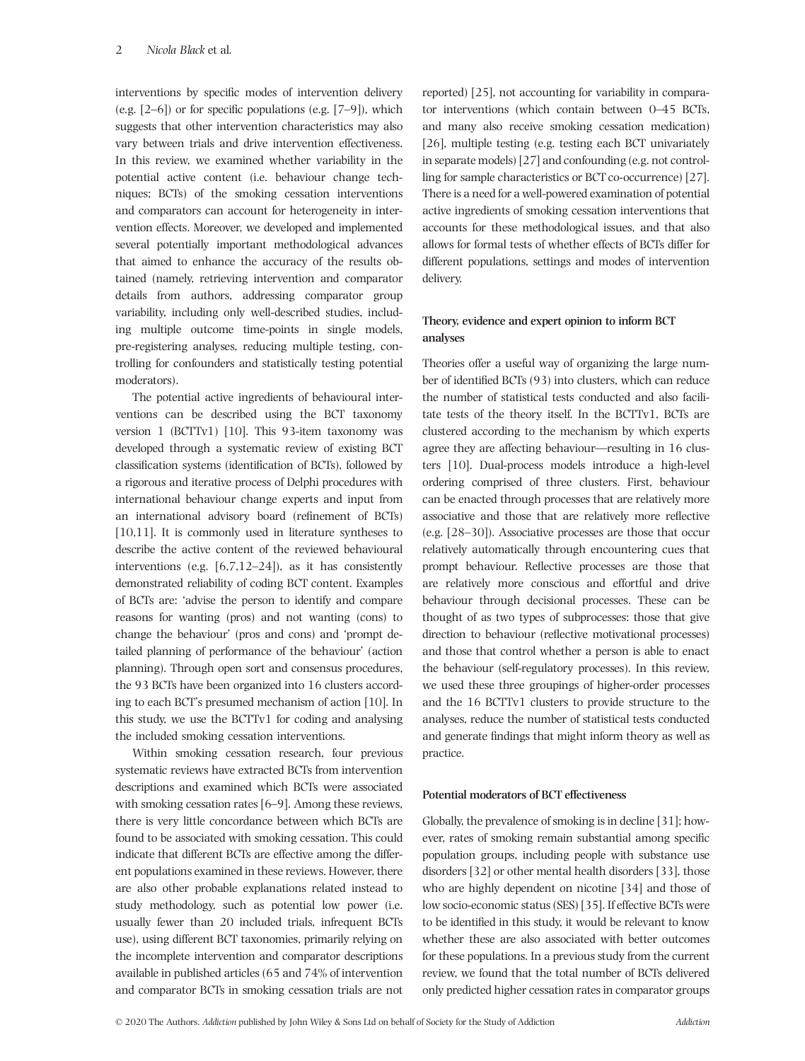interventions by specific modes of intervention delivery (e.g.  $[2-6]$ ) or for specific populations (e.g.  $[7-9]$ ), which suggests that other intervention characteristics may also vary between trials and drive intervention effectiveness. In this review, we examined whether variability in the potential active content (i.e. behaviour change techniques; BCTs) of the smoking cessation interventions and comparators can account for heterogeneity in intervention effects. Moreover, we developed and implemented several potentially important methodological advances that aimed to enhance the accuracy of the results obtained (namely, retrieving intervention and comparator details from authors, addressing comparator group variability, including only well-described studies, including multiple outcome time-points in single models, pre-registering analyses, reducing multiple testing, controlling for confounders and statistically testing potential moderators).

The potential active ingredients of behavioural interventions can be described using the BCT taxonomy version 1 (BCTTv1) [10]. This 93-item taxonomy was developed through a systematic review of existing BCT classification systems (identification of BCTs), followed by a rigorous and iterative process of Delphi procedures with international behaviour change experts and input from an international advisory board (refinement of BCTs) [10,11]. It is commonly used in literature syntheses to describe the active content of the reviewed behavioural interventions (e.g. [6,7,12–24]), as it has consistently demonstrated reliability of coding BCT content. Examples of BCTs are: 'advise the person to identify and compare reasons for wanting (pros) and not wanting (cons) to change the behaviour' (pros and cons) and 'prompt detailed planning of performance of the behaviour' (action planning). Through open sort and consensus procedures, the 93 BCTs have been organized into 16 clusters according to each BCT's presumed mechanism of action [10]. In this study, we use the BCTTv1 for coding and analysing the included smoking cessation interventions.

Within smoking cessation research, four previous systematic reviews have extracted BCTs from intervention descriptions and examined which BCTs were associated with smoking cessation rates [6–9]. Among these reviews, there is very little concordance between which BCTs are found to be associated with smoking cessation. This could indicate that different BCTs are effective among the different populations examined in these reviews. However, there are also other probable explanations related instead to study methodology, such as potential low power (i.e. usually fewer than 20 included trials, infrequent BCTs use), using different BCT taxonomies, primarily relying on the incomplete intervention and comparator descriptions available in published articles (65 and 74% of intervention and comparator BCTs in smoking cessation trials are not reported) [25], not accounting for variability in comparator interventions (which contain between 0–45 BCTs, and many also receive smoking cessation medication) [26], multiple testing (e.g. testing each BCT univariately in separate models) [27] and confounding (e.g. not controlling for sample characteristics or BCT co-occurrence) [27]. There is a need for a well-powered examination of potential active ingredients of smoking cessation interventions that accounts for these methodological issues, and that also allows for formal tests of whether effects of BCTs differ for different populations, settings and modes of intervention delivery.

# **Theory, evidence and expert opinion to inform BCT analyses**

Theories offer a useful way of organizing the large number of identified BCTs (93) into clusters, which can reduce the number of statistical tests conducted and also facilitate tests of the theory itself. In the BCTTv1, BCTs are clustered according to the mechanism by which experts agree they are affecting behaviour—resulting in 16 clusters [10]. Dual-process models introduce a high-level ordering comprised of three clusters. First, behaviour can be enacted through processes that are relatively more associative and those that are relatively more reflective (e.g. [28–30]). Associative processes are those that occur relatively automatically through encountering cues that prompt behaviour. Reflective processes are those that are relatively more conscious and effortful and drive behaviour through decisional processes. These can be thought of as two types of subprocesses: those that give direction to behaviour (reflective motivational processes) and those that control whether a person is able to enact the behaviour (self-regulatory processes). In this review, we used these three groupings of higher-order processes and the 16 BCTTv1 clusters to provide structure to the analyses, reduce the number of statistical tests conducted and generate findings that might inform theory as well as practice.

#### **Potential moderators of BCT effectiveness**

Globally, the prevalence of smoking is in decline [31]; however, rates of smoking remain substantial among specific population groups, including people with substance use disorders [32] or other mental health disorders [33], those who are highly dependent on nicotine [34] and those of low socio-economic status (SES) [35]. If effective BCTs were to be identified in this study, it would be relevant to know whether these are also associated with better outcomes for these populations. In a previous study from the current review, we found that the total number of BCTs delivered only predicted higher cessation rates in comparator groups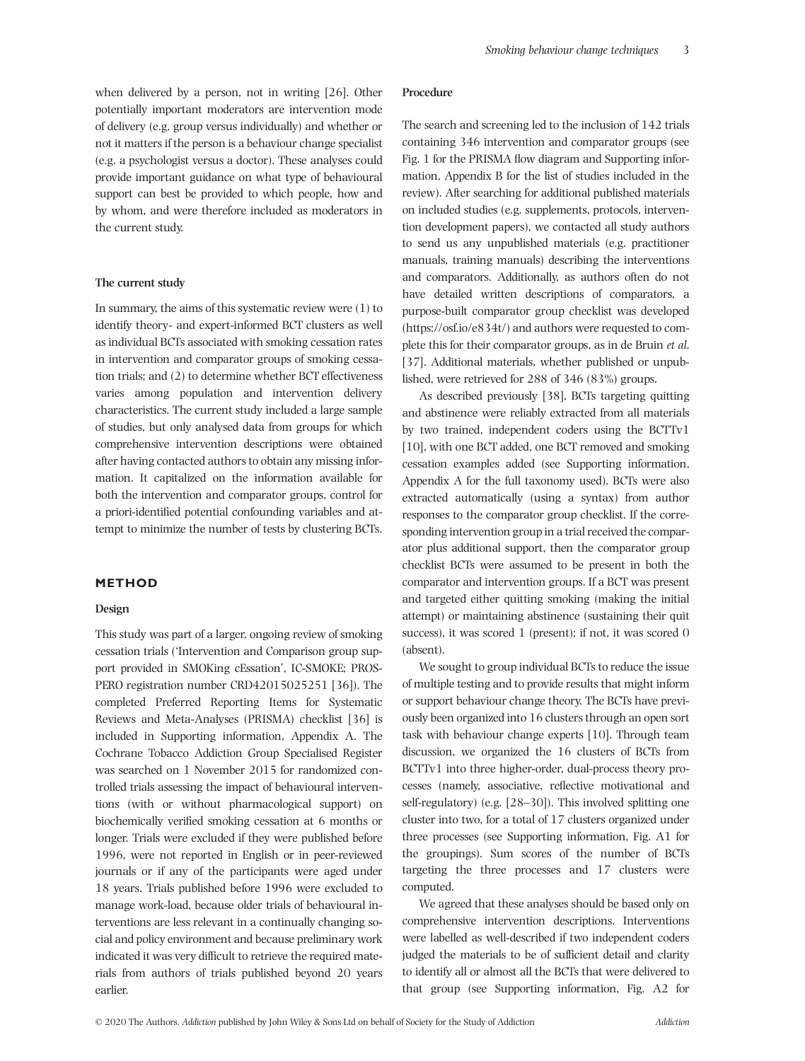when delivered by a person, not in writing [26]. Other potentially important moderators are intervention mode of delivery (e.g. group versus individually) and whether or not it matters if the person is a behaviour change specialist (e.g. a psychologist versus a doctor). These analyses could provide important guidance on what type of behavioural support can best be provided to which people, how and by whom, and were therefore included as moderators in the current study.

#### **The current study**

In summary, the aims of this systematic review were  $(1)$  to identify theory- and expert-informed BCT clusters as well as individual BCTs associated with smoking cessation rates in intervention and comparator groups of smoking cessation trials; and (2) to determine whether BCT effectiveness varies among population and intervention delivery characteristics. The current study included a large sample of studies, but only analysed data from groups for which comprehensive intervention descriptions were obtained after having contacted authors to obtain any missing information. It capitalized on the information available for both the intervention and comparator groups, control for a priori-identified potential confounding variables and attempt to minimize the number of tests by clustering BCTs.

# **METHOD**

## **Design**

This study was part of a larger, ongoing review of smoking cessation trials ('Intervention and Comparison group support provided in SMOKing cEssation', IC-SMOKE; PROS-PERO registration number CRD42015025251 [36]). The completed Preferred Reporting Items for Systematic Reviews and Meta-Analyses (PRISMA) checklist [36] is included in Supporting information, Appendix A. The Cochrane Tobacco Addiction Group Specialised Register was searched on 1 November 2015 for randomized controlled trials assessing the impact of behavioural interventions (with or without pharmacological support) on biochemically verified smoking cessation at 6 months or longer. Trials were excluded if they were published before 1996, were not reported in English or in peer-reviewed journals or if any of the participants were aged under 18 years. Trials published before 1996 were excluded to manage work-load, because older trials of behavioural interventions are less relevant in a continually changing social and policy environment and because preliminary work indicated it was very difficult to retrieve the required materials from authors of trials published beyond 20 years earlier.

#### **Procedure**

The search and screening led to the inclusion of 142 trials containing 346 intervention and comparator groups (see Fig. 1 for the PRISMA flow diagram and Supporting information, Appendix B for the list of studies included in the review). After searching for additional published materials on included studies (e.g. supplements, protocols, intervention development papers), we contacted all study authors to send us any unpublished materials (e.g. practitioner manuals, training manuals) describing the interventions and comparators. Additionally, as authors often do not have detailed written descriptions of comparators, a purpose-built comparator group checklist was developed (<https://osf.io/e834t/>) and authors were requested to complete this for their comparator groups, as in de Bruin *et al*. [37]. Additional materials, whether published or unpublished, were retrieved for 288 of 346 (83%) groups.

As described previously [38], BCTs targeting quitting and abstinence were reliably extracted from all materials by two trained, independent coders using the BCTTv1 [10], with one BCT added, one BCT removed and smoking cessation examples added (see Supporting information, Appendix A for the full taxonomy used). BCTs were also extracted automatically (using a syntax) from author responses to the comparator group checklist. If the corresponding intervention group in a trial received the comparator plus additional support, then the comparator group checklist BCTs were assumed to be present in both the comparator and intervention groups. If a BCT was present and targeted either quitting smoking (making the initial attempt) or maintaining abstinence (sustaining their quit success), it was scored 1 (present); if not, it was scored 0 (absent).

We sought to group individual BCTs to reduce the issue of multiple testing and to provide results that might inform or support behaviour change theory. The BCTs have previously been organized into 16 clusters through an open sort task with behaviour change experts [10]. Through team discussion, we organized the 16 clusters of BCTs from BCTTv1 into three higher-order, dual-process theory processes (namely, associative, reflective motivational and self-regulatory) (e.g. [28–30]). This involved splitting one cluster into two, for a total of 17 clusters organized under three processes (see Supporting information, Fig. A1 for the groupings). Sum scores of the number of BCTs targeting the three processes and 17 clusters were computed.

We agreed that these analyses should be based only on comprehensive intervention descriptions. Interventions were labelled as well-described if two independent coders judged the materials to be of sufficient detail and clarity to identify all or almost all the BCTs that were delivered to that group (see Supporting information, Fig. A2 for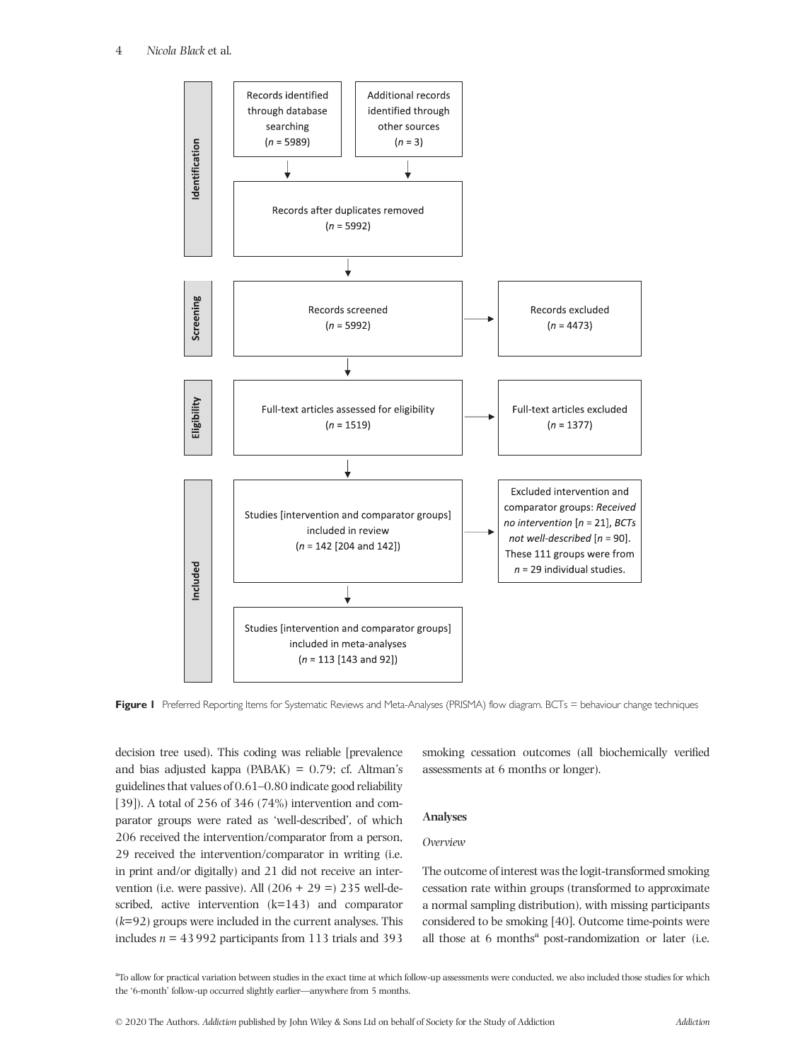

Figure 1 Preferred Reporting Items for Systematic Reviews and Meta-Analyses (PRISMA) flow diagram. BCTs = behaviour change techniques

decision tree used). This coding was reliable [prevalence and bias adjusted kappa ( $PABAK$ ) = 0.79; cf. Altman's guidelines that values of 0.61–0.80 indicate good reliability [39]). A total of 256 of 346 (74%) intervention and comparator groups were rated as 'well-described', of which 206 received the intervention/comparator from a person, 29 received the intervention/comparator in writing (i.e. in print and/or digitally) and 21 did not receive an intervention (i.e. were passive). All  $(206 + 29 = 235$  well-described, active intervention (k=143) and comparator (*k*=92) groups were included in the current analyses. This includes *n* = 43 992 participants from 113 trials and 393

smoking cessation outcomes (all biochemically verified assessments at 6 months or longer).

# **Analyses**

# *Overview*

The outcome of interest was the logit-transformed smoking cessation rate within groups (transformed to approximate a normal sampling distribution), with missing participants considered to be smoking [40]. Outcome time-points were all those at 6 months<sup>a</sup> post-randomization or later (i.e.

<sup>&</sup>lt;sup>ar</sup> To allow for practical variation between studies in the exact time at which follow-up assessments were conducted, we also included those studies for which the '6-month' follow-up occurred slightly earlier—anywhere from 5 months.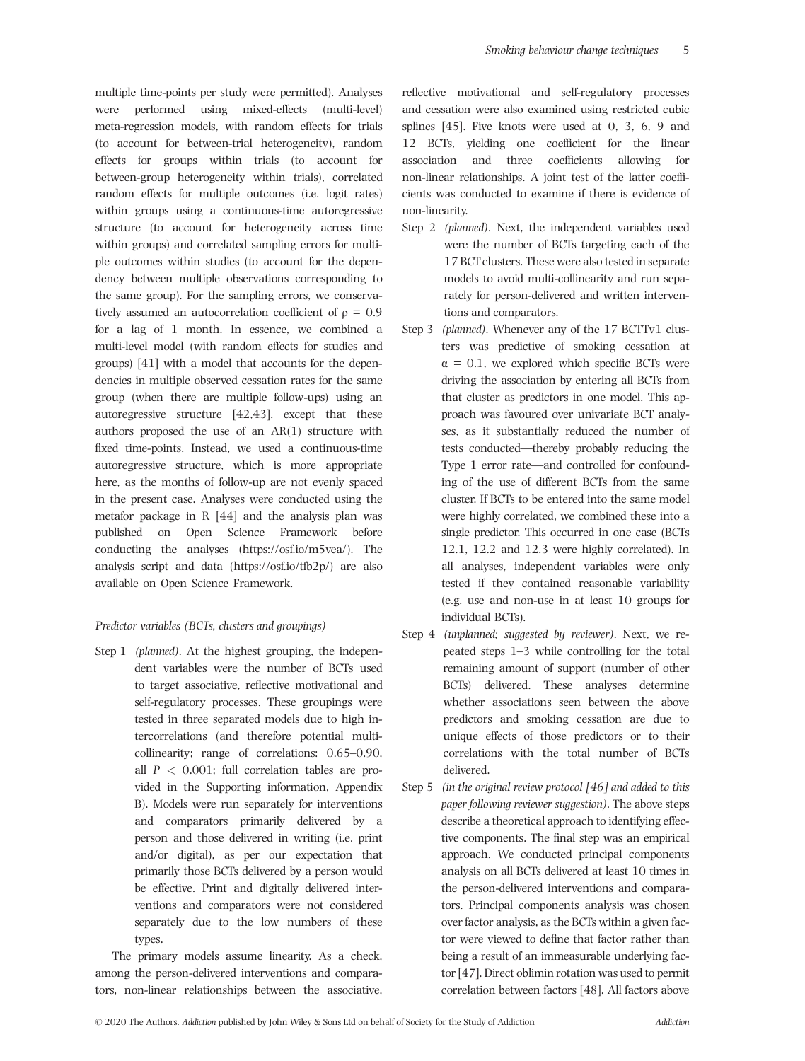multiple time-points per study were permitted). Analyses were performed using mixed-effects (multi-level) meta-regression models, with random effects for trials (to account for between-trial heterogeneity), random effects for groups within trials (to account for between-group heterogeneity within trials), correlated random effects for multiple outcomes (i.e. logit rates) within groups using a continuous-time autoregressive structure (to account for heterogeneity across time within groups) and correlated sampling errors for multiple outcomes within studies (to account for the dependency between multiple observations corresponding to the same group). For the sampling errors, we conservatively assumed an autocorrelation coefficient of  $\rho = 0.9$ for a lag of 1 month. In essence, we combined a multi-level model (with random effects for studies and groups) [41] with a model that accounts for the dependencies in multiple observed cessation rates for the same group (when there are multiple follow-ups) using an autoregressive structure [42,43], except that these authors proposed the use of an AR(1) structure with fixed time-points. Instead, we used a continuous-time autoregressive structure, which is more appropriate here, as the months of follow-up are not evenly spaced in the present case. Analyses were conducted using the metafor package in R [44] and the analysis plan was published on Open Science Framework before conducting the analyses [\(https://osf.io/m5vea/\)](https://osf.io/m5vea/). The analysis script and data [\(https://osf.io/tfb2p/](https://osf.io/tfb2p/)) are also available on Open Science Framework.

# *Predictor variables (BCTs, clusters and groupings)*

Step 1 *(planned)*. At the highest grouping, the independent variables were the number of BCTs used to target associative, reflective motivational and self-regulatory processes. These groupings were tested in three separated models due to high intercorrelations (and therefore potential multicollinearity; range of correlations: 0.65–0.90, all *P <* 0.001; full correlation tables are provided in the Supporting information, Appendix B). Models were run separately for interventions and comparators primarily delivered by a person and those delivered in writing (i.e. print and/or digital), as per our expectation that primarily those BCTs delivered by a person would be effective. Print and digitally delivered interventions and comparators were not considered separately due to the low numbers of these types.

The primary models assume linearity. As a check, among the person-delivered interventions and comparators, non-linear relationships between the associative, reflective motivational and self-regulatory processes and cessation were also examined using restricted cubic splines [45]. Five knots were used at 0, 3, 6, 9 and 12 BCTs, yielding one coefficient for the linear association and three coefficients allowing for non-linear relationships. A joint test of the latter coefficients was conducted to examine if there is evidence of non-linearity.

- Step 2 *(planned)*. Next, the independent variables used were the number of BCTs targeting each of the 17 BCT clusters. These were also tested in separate models to avoid multi-collinearity and run separately for person-delivered and written interventions and comparators.
- Step 3 *(planned)*. Whenever any of the 17 BCTTv1 clusters was predictive of smoking cessation at  $\alpha = 0.1$ , we explored which specific BCTs were driving the association by entering all BCTs from that cluster as predictors in one model. This approach was favoured over univariate BCT analyses, as it substantially reduced the number of tests conducted—thereby probably reducing the Type 1 error rate—and controlled for confounding of the use of different BCTs from the same cluster. If BCTs to be entered into the same model were highly correlated, we combined these into a single predictor. This occurred in one case (BCTs 12.1, 12.2 and 12.3 were highly correlated). In all analyses, independent variables were only tested if they contained reasonable variability (e.g. use and non-use in at least 10 groups for individual BCTs).
- Step 4 *(unplanned; suggested by reviewer)*. Next, we repeated steps 1–3 while controlling for the total remaining amount of support (number of other BCTs) delivered. These analyses determine whether associations seen between the above predictors and smoking cessation are due to unique effects of those predictors or to their correlations with the total number of BCTs delivered.
- Step 5 *(in the original review protocol [46] and added to this paper following reviewer suggestion)*. The above steps describe a theoretical approach to identifying effective components. The final step was an empirical approach. We conducted principal components analysis on all BCTs delivered at least 10 times in the person-delivered interventions and comparators. Principal components analysis was chosen over factor analysis, as the BCTs within a given factor were viewed to define that factor rather than being a result of an immeasurable underlying factor [47]. Direct oblimin rotation was used to permit correlation between factors [48]. All factors above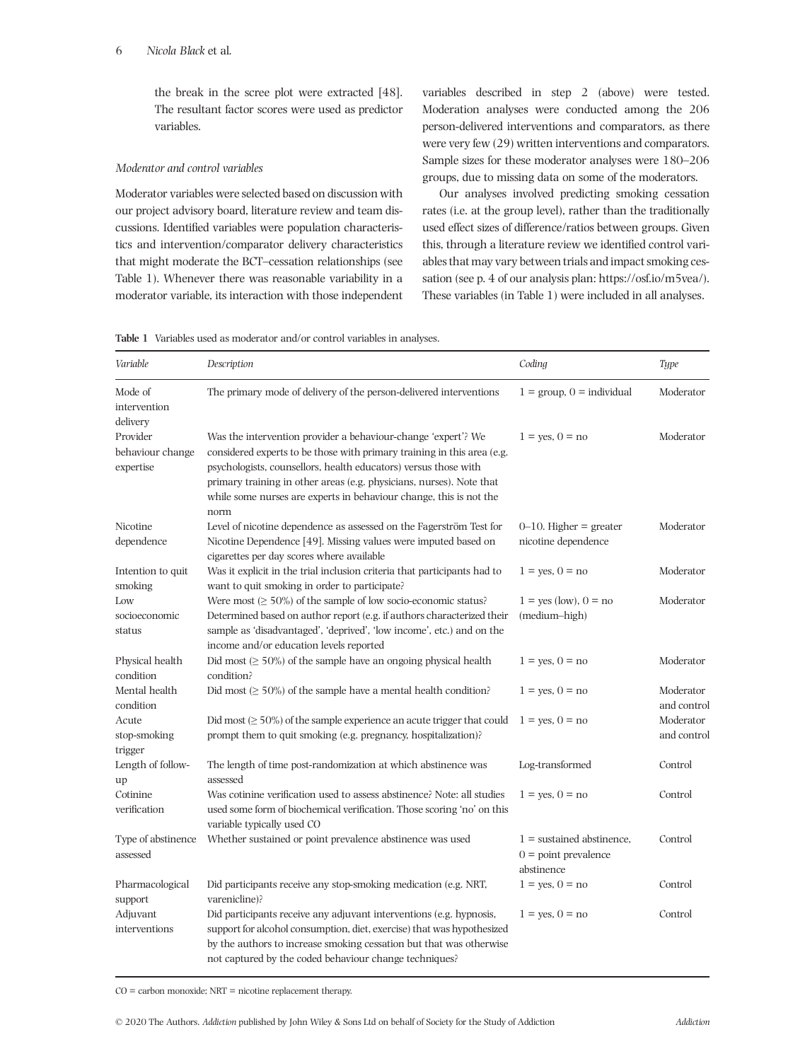## 6 *Nicola Black* et al*.*

the break in the scree plot were extracted [48]. The resultant factor scores were used as predictor variables.

## *Moderator and control variables*

Moderator variables were selected based on discussion with our project advisory board, literature review and team discussions. Identified variables were population characteristics and intervention/comparator delivery characteristics that might moderate the BCT–cessation relationships (see Table 1). Whenever there was reasonable variability in a moderator variable, its interaction with those independent

variables described in step 2 (above) were tested. Moderation analyses were conducted among the 206 person-delivered interventions and comparators, as there were very few (29) written interventions and comparators. Sample sizes for these moderator analyses were 180–206 groups, due to missing data on some of the moderators.

Our analyses involved predicting smoking cessation rates (i.e. at the group level), rather than the traditionally used effect sizes of difference/ratios between groups. Given this, through a literature review we identified control variables that may vary between trials and impact smoking cessation (see p. 4 of our analysis plan: [https://osf.io/m5vea/\)](https://osf.io/m5vea/). These variables (in Table 1) were included in all analyses.

**Table 1** Variables used as moderator and/or control variables in analyses.

| Variable                                  | Description                                                                                                                                                                                                                                                                                                                                                       | Coding                                                              | Type                     |
|-------------------------------------------|-------------------------------------------------------------------------------------------------------------------------------------------------------------------------------------------------------------------------------------------------------------------------------------------------------------------------------------------------------------------|---------------------------------------------------------------------|--------------------------|
| Mode of<br>intervention<br>delivery       | The primary mode of delivery of the person-delivered interventions                                                                                                                                                                                                                                                                                                | $1 = \text{group}, 0 = \text{individual}$                           | Moderator                |
| Provider<br>behaviour change<br>expertise | Was the intervention provider a behaviour-change 'expert'? We<br>considered experts to be those with primary training in this area (e.g.<br>psychologists, counsellors, health educators) versus those with<br>primary training in other areas (e.g. physicians, nurses). Note that<br>while some nurses are experts in behaviour change, this is not the<br>norm | $1 = yes, 0 = no$                                                   | Moderator                |
| Nicotine<br>dependence                    | Level of nicotine dependence as assessed on the Fagerström Test for<br>Nicotine Dependence [49]. Missing values were imputed based on<br>cigarettes per day scores where available                                                                                                                                                                                | $0-10$ . Higher = greater<br>nicotine dependence                    | Moderator                |
| Intention to quit<br>smoking              | Was it explicit in the trial inclusion criteria that participants had to<br>want to quit smoking in order to participate?                                                                                                                                                                                                                                         | $1 = yes, 0 = no$                                                   | Moderator                |
| Low<br>socioeconomic<br>status            | Were most $(\geq 50\%)$ of the sample of low socio-economic status?<br>Determined based on author report (e.g. if authors characterized their<br>sample as 'disadvantaged', 'deprived', 'low income', etc.) and on the<br>income and/or education levels reported                                                                                                 | $1 = \text{yes}$ (low), $0 = \text{no}$<br>(medium-high)            | Moderator                |
| Physical health<br>condition              | Did most $( \geq 50\%)$ of the sample have an ongoing physical health<br>condition?                                                                                                                                                                                                                                                                               | $1 = \text{ves}, 0 = \text{no}$                                     | Moderator                |
| Mental health<br>condition                | Did most $( \geq 50\%)$ of the sample have a mental health condition?                                                                                                                                                                                                                                                                                             | $1 = \text{ves}, 0 = \text{no}$                                     | Moderator<br>and control |
| Acute<br>stop-smoking<br>trigger          | Did most ( $\geq 50\%$ ) of the sample experience an acute trigger that could<br>prompt them to quit smoking (e.g. pregnancy, hospitalization)?                                                                                                                                                                                                                   | $1 = \text{ves}, 0 = \text{no}$                                     | Moderator<br>and control |
| Length of follow-<br>up                   | The length of time post-randomization at which abstinence was<br>assessed                                                                                                                                                                                                                                                                                         | Log-transformed                                                     | Control                  |
| Cotinine<br>verification                  | Was cotinine verification used to assess abstinence? Note: all studies<br>used some form of biochemical verification. Those scoring 'no' on this<br>variable typically used CO                                                                                                                                                                                    | $1 = yes, 0 = no$                                                   | Control                  |
| Type of abstinence<br>assessed            | Whether sustained or point prevalence abstinence was used                                                                                                                                                                                                                                                                                                         | $1 =$ sustained abstinence,<br>$0 =$ point prevalence<br>abstinence | Control                  |
| Pharmacological<br>support                | Did participants receive any stop-smoking medication (e.g. NRT,<br>varenicline)?                                                                                                                                                                                                                                                                                  | $1 = yes, 0 = no$                                                   | Control                  |
| Adjuvant<br>interventions                 | Did participants receive any adjuvant interventions (e.g. hypnosis,<br>support for alcohol consumption, diet, exercise) that was hypothesized<br>by the authors to increase smoking cessation but that was otherwise<br>not captured by the coded behaviour change techniques?                                                                                    | $1 = yes, 0 = no$                                                   | Control                  |

 $CO =$  carbon monoxide;  $NRT =$  nicotine replacement therapy.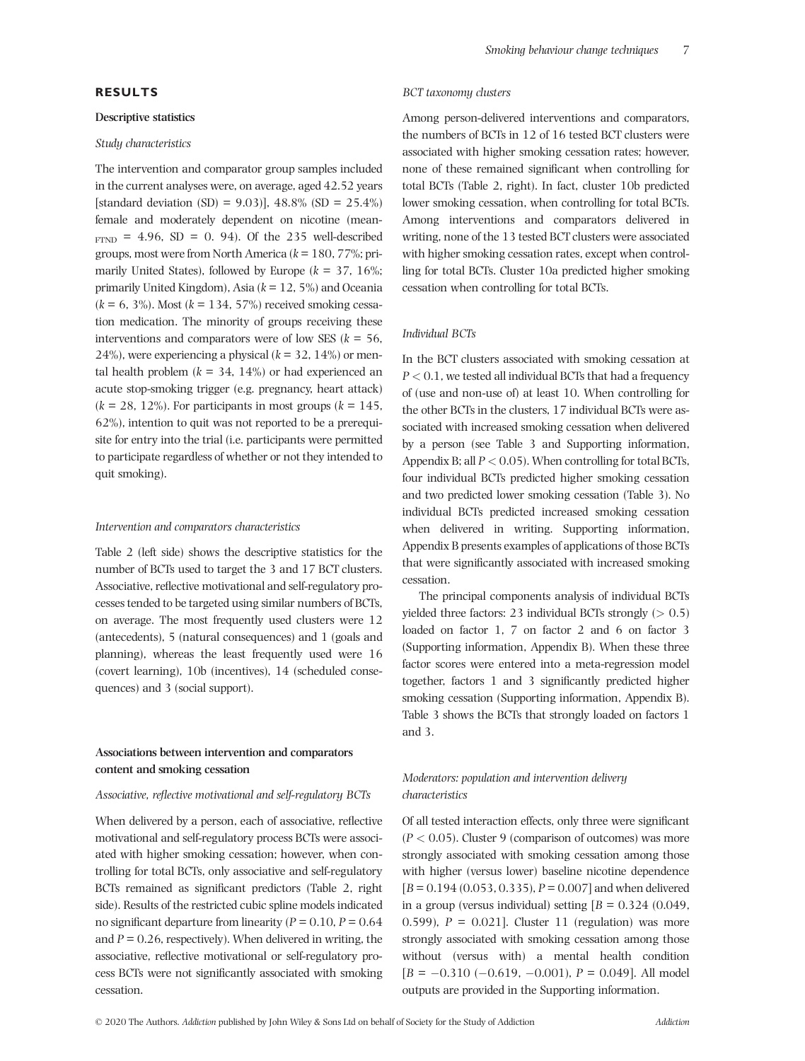# **RESULTS**

#### **Descriptive statistics**

#### *Study characteristics*

The intervention and comparator group samples included in the current analyses were, on average, aged 42.52 years [standard deviation (SD) = 9.03)], 48.8% (SD =  $25.4\%$ ) female and moderately dependent on nicotine (mean- $F(TND) = 4.96$ ,  $SD = 0$ , 94). Of the 235 well-described groups, most were from North America (*k* = 180, 77%; primarily United States), followed by Europe (*k* = 37, 16%; primarily United Kingdom), Asia (*k* = 12, 5%) and Oceania  $(k = 6, 3\%)$ . Most  $(k = 134, 57\%)$  received smoking cessation medication. The minority of groups receiving these interventions and comparators were of low SES ( $k = 56$ , 24%), were experiencing a physical (*k* = 32, 14%) or mental health problem  $(k = 34, 14\%)$  or had experienced an acute stop-smoking trigger (e.g. pregnancy, heart attack)  $(k = 28, 12\%)$ . For participants in most groups  $(k = 145,$ 62%), intention to quit was not reported to be a prerequisite for entry into the trial (i.e. participants were permitted to participate regardless of whether or not they intended to quit smoking).

#### *Intervention and comparators characteristics*

Table 2 (left side) shows the descriptive statistics for the number of BCTs used to target the 3 and 17 BCT clusters. Associative, reflective motivational and self-regulatory processes tended to be targeted using similar numbers of BCTs, on average. The most frequently used clusters were 12 (antecedents), 5 (natural consequences) and 1 (goals and planning), whereas the least frequently used were 16 (covert learning), 10b (incentives), 14 (scheduled consequences) and 3 (social support).

# **Associations between intervention and comparators content and smoking cessation**

#### *Associative, reflective motivational and self-regulatory BCTs*

When delivered by a person, each of associative, reflective motivational and self-regulatory process BCTs were associated with higher smoking cessation; however, when controlling for total BCTs, only associative and self-regulatory BCTs remained as significant predictors (Table 2, right side). Results of the restricted cubic spline models indicated no significant departure from linearity ( $P = 0.10$ ,  $P = 0.64$ and  $P = 0.26$ , respectively). When delivered in writing, the associative, reflective motivational or self-regulatory process BCTs were not significantly associated with smoking cessation.

#### *BCT taxonomy clusters*

Among person-delivered interventions and comparators, the numbers of BCTs in 12 of 16 tested BCT clusters were associated with higher smoking cessation rates; however, none of these remained significant when controlling for total BCTs (Table 2, right). In fact, cluster 10b predicted lower smoking cessation, when controlling for total BCTs. Among interventions and comparators delivered in writing, none of the 13 tested BCT clusters were associated with higher smoking cessation rates, except when controlling for total BCTs. Cluster 10a predicted higher smoking cessation when controlling for total BCTs.

## *Individual BCTs*

In the BCT clusters associated with smoking cessation at *P <* 0.1, we tested all individual BCTs that had a frequency of (use and non-use of) at least 10. When controlling for the other BCTs in the clusters, 17 individual BCTs were associated with increased smoking cessation when delivered by a person (see Table 3 and Supporting information, Appendix B; all *P <* 0.05). When controlling for total BCTs, four individual BCTs predicted higher smoking cessation and two predicted lower smoking cessation (Table 3). No individual BCTs predicted increased smoking cessation when delivered in writing. Supporting information, Appendix B presents examples of applications of those BCTs that were significantly associated with increased smoking cessation.

The principal components analysis of individual BCTs yielded three factors: 23 individual BCTs strongly (*>* 0.5) loaded on factor 1, 7 on factor 2 and 6 on factor 3 (Supporting information, Appendix B). When these three factor scores were entered into a meta-regression model together, factors 1 and 3 significantly predicted higher smoking cessation (Supporting information, Appendix B). Table 3 shows the BCTs that strongly loaded on factors 1 and 3.

# *Moderators: population and intervention delivery characteristics*

Of all tested interaction effects, only three were significant (*P <* 0.05). Cluster 9 (comparison of outcomes) was more strongly associated with smoking cessation among those with higher (versus lower) baseline nicotine dependence [*B* = 0.194 (0.053, 0.335), *P* = 0.007] and when delivered in a group (versus individual) setting  $[B = 0.324]$  (0.049, 0.599),  $P = 0.021$ ]. Cluster 11 (regulation) was more strongly associated with smoking cessation among those without (versus with) a mental health condition  $[B = -0.310 (-0.619, -0.001), P = 0.049]$ . All model outputs are provided in the Supporting information.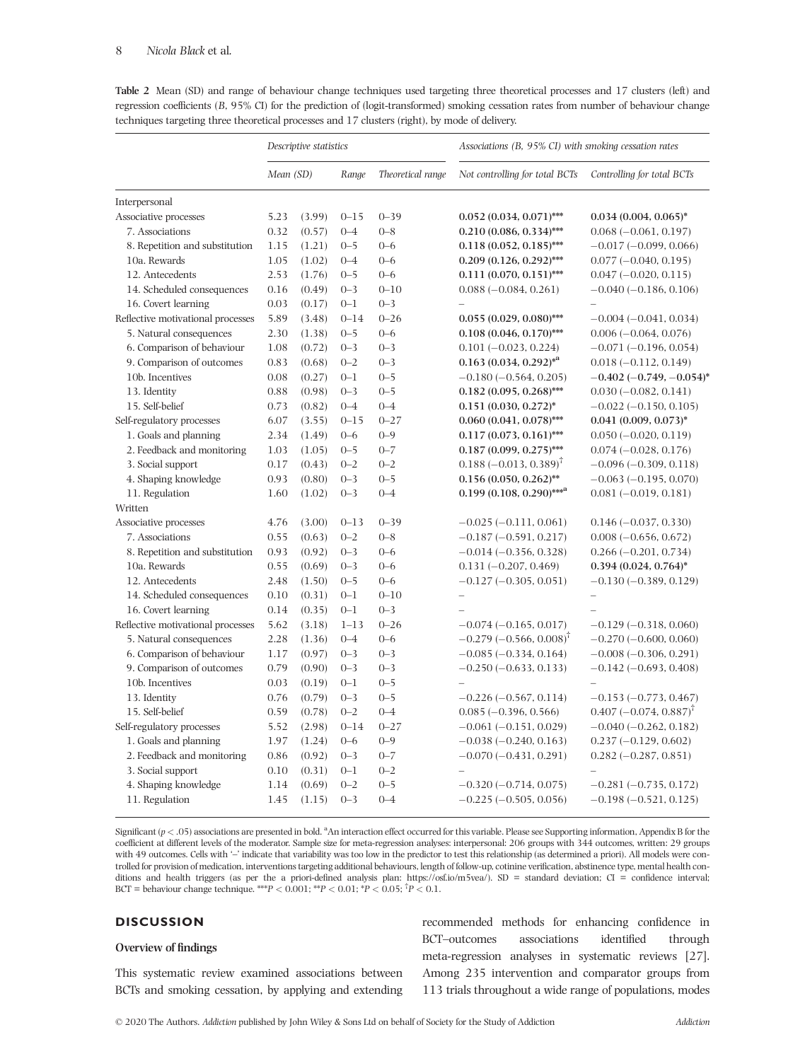|                                   | Descriptive statistics |        |          |                   | Associations (B, 95% CI) with smoking cessation rates |                            |  |
|-----------------------------------|------------------------|--------|----------|-------------------|-------------------------------------------------------|----------------------------|--|
|                                   | Mean (SD)              |        | Range    | Theoretical range | Not controlling for total BCTs                        | Controlling for total BCTs |  |
| Interpersonal                     |                        |        |          |                   |                                                       |                            |  |
| Associative processes             | 5.23                   | (3.99) | $0 - 15$ | $0 - 39$          | $0.052(0.034, 0.071)$ ***                             | $0.034(0.004, 0.065)^*$    |  |
| 7. Associations                   | 0.32                   | (0.57) | $0 - 4$  | $0 - 8$           | $0.210(0.086, 0.334)$ ***                             | $0.068 (-0.061, 0.197)$    |  |
| 8. Repetition and substitution    | 1.15                   | (1.21) | $0 - 5$  | $0 - 6$           | $0.118(0.052, 0.185)$ ***                             | $-0.017(-0.099, 0.066)$    |  |
| 10a. Rewards                      | 1.05                   | (1.02) | $0 - 4$  | $0 - 6$           | $0.209(0.126, 0.292)$ ***                             | $0.077 (-0.040, 0.195)$    |  |
| 12. Antecedents                   | 2.53                   | (1.76) | $0 - 5$  | $0 - 6$           | $0.111 (0.070, 0.151)$ ***                            | $0.047 (-0.020, 0.115)$    |  |
| 14. Scheduled consequences        | 0.16                   | (0.49) | $0 - 3$  | $0 - 10$          | $0.088 (-0.084, 0.261)$                               | $-0.040(-0.186, 0.106)$    |  |
| 16. Covert learning               | 0.03                   | (0.17) | $0 - 1$  | $0 - 3$           |                                                       |                            |  |
| Reflective motivational processes | 5.89                   | (3.48) | $0 - 14$ | $0 - 26$          | $0.055(0.029, 0.080)$ ***                             | $-0.004(-0.041, 0.034)$    |  |
| 5. Natural consequences           | 2.30                   | (1.38) | $0 - 5$  | $0 - 6$           | $0.108(0.046, 0.170)$ ***                             | $0.006 (-0.064, 0.076)$    |  |
| 6. Comparison of behaviour        | 1.08                   | (0.72) | $0 - 3$  | $0 - 3$           | $0.101 (-0.023, 0.224)$                               | $-0.071(-0.196, 0.054)$    |  |
| 9. Comparison of outcomes         | 0.83                   | (0.68) | $0 - 2$  | $0 - 3$           | $0.163(0.034, 0.292)^{*a}$                            | $0.018 (-0.112, 0.149)$    |  |
| 10b. Incentives                   | 0.08                   | (0.27) | $0 - 1$  | $0 - 5$           | $-0.180(-0.564, 0.205)$                               | $-0.402$ (-0.749, -0.054)* |  |
| 13. Identity                      | 0.88                   | (0.98) | $0 - 3$  | $0 - 5$           | $0.182(0.095, 0.268)$ ***                             | $0.030 (-0.082, 0.141)$    |  |
| 15. Self-belief                   | 0.73                   | (0.82) | $0 - 4$  | $0 - 4$           | $0.151$ $(0.030, 0.272)^*$                            | $-0.022(-0.150, 0.105)$    |  |
| Self-regulatory processes         | 6.07                   | (3.55) | $0 - 15$ | $0 - 27$          | $0.060(0.041, 0.078)$ ***                             | $0.041$ (0.009, 0.073)*    |  |
| 1. Goals and planning             | 2.34                   | (1.49) | $0 - 6$  | $0 - 9$           | $0.117(0.073, 0.161)$ ***                             | $0.050 (-0.020, 0.119)$    |  |
| 2. Feedback and monitoring        | 1.03                   | (1.05) | $0 - 5$  | $0 - 7$           | $0.187(0.099, 0.275)$ ***                             | $0.074 (-0.028, 0.176)$    |  |
| 3. Social support                 | 0.17                   | (0.43) | $0 - 2$  | $0 - 2$           | $0.188 (-0.013, 0.389)^{\dagger}$                     | $-0.096(-0.309, 0.118)$    |  |
| 4. Shaping knowledge              | 0.93                   | (0.80) | $0 - 3$  | $0 - 5$           | $0.156(0.050, 0.262)$ **                              | $-0.063(-0.195, 0.070)$    |  |
| 11. Regulation                    | 1.60                   | (1.02) | $0 - 3$  | $0 - 4$           | $0.199(0.108, 0.290)$ *** <sup>a</sup>                | $0.081 (-0.019, 0.181)$    |  |
| Written                           |                        |        |          |                   |                                                       |                            |  |
| Associative processes             | 4.76                   | (3.00) | $0 - 13$ | $0 - 39$          | $-0.025(-0.111, 0.061)$                               | $0.146 (-0.037, 0.330)$    |  |
| 7. Associations                   | 0.55                   | (0.63) | $0 - 2$  | $0 - 8$           | $-0.187(-0.591, 0.217)$                               | $0.008 (-0.656, 0.672)$    |  |
| 8. Repetition and substitution    | 0.93                   | (0.92) | $0 - 3$  | $0 - 6$           | $-0.014(-0.356, 0.328)$                               | $0.266 (-0.201, 0.734)$    |  |
| 10a. Rewards                      | 0.55                   | (0.69) | $0 - 3$  | $0 - 6$           | $0.131 (-0.207, 0.469)$                               | $0.394(0.024, 0.764)^*$    |  |
| 12. Antecedents                   | 2.48                   | (1.50) | $0 - 5$  | $0 - 6$           | $-0.127(-0.305, 0.051)$                               | $-0.130(-0.389, 0.129)$    |  |
| 14. Scheduled consequences        | 0.10                   | (0.31) | $0 - 1$  | $0 - 10$          | $\overline{\phantom{0}}$                              | $\overline{\phantom{0}}$   |  |
| 16. Covert learning               | 0.14                   | (0.35) | $0 - 1$  | $0 - 3$           |                                                       |                            |  |
| Reflective motivational processes | 5.62                   | (3.18) | $1 - 13$ | $0 - 26$          | $-0.074(-0.165, 0.017)$                               | $-0.129(-0.318, 0.060)$    |  |
| 5. Natural consequences           | 2.28                   | (1.36) | $0 - 4$  | $0 - 6$           | $-0.279$ (-0.566, 0.008) <sup>T</sup>                 | $-0.270(-0.600, 0.060)$    |  |
| 6. Comparison of behaviour        | 1.17                   | (0.97) | $0 - 3$  | $0 - 3$           | $-0.085(-0.334, 0.164)$                               | $-0.008(-0.306, 0.291)$    |  |
| 9. Comparison of outcomes         | 0.79                   | (0.90) | $0 - 3$  | $0 - 3$           | $-0.250$ ( $-0.633$ , 0.133)                          | $-0.142(-0.693, 0.408)$    |  |
| 10b. Incentives                   | 0.03                   | (0.19) | $0 - 1$  | $0 - 5$           |                                                       |                            |  |
| 13. Identity                      | 0.76                   | (0.79) | $0 - 3$  | $0 - 5$           | $-0.226(-0.567, 0.114)$                               | $-0.153(-0.773, 0.467)$    |  |
| 15. Self-belief                   | 0.59                   | (0.78) | $0 - 2$  | $0 - 4$           | $0.085(-0.396, 0.566)$                                | $0.407 (-0.074, 0.887)^T$  |  |
| Self-regulatory processes         | 5.52                   | (2.98) | $0 - 14$ | $0 - 27$          | $-0.061(-0.151, 0.029)$                               | $-0.040$ $(-0.262, 0.182)$ |  |
| 1. Goals and planning             | 1.97                   | (1.24) | $0 - 6$  | $0 - 9$           | $-0.038(-0.240, 0.163)$                               | $0.237 (-0.129, 0.602)$    |  |
| 2. Feedback and monitoring        | 0.86                   | (0.92) | $0 - 3$  | $0 - 7$           | $-0.070(-0.431, 0.291)$                               | $0.282 (-0.287, 0.851)$    |  |
| 3. Social support                 | 0.10                   | (0.31) | $0 - 1$  | $0 - 2$           |                                                       |                            |  |
| 4. Shaping knowledge              | 1.14                   | (0.69) | $0 - 2$  | $0 - 5$           | $-0.320(-0.714, 0.075)$                               | $-0.281(-0.735, 0.172)$    |  |
| 11. Regulation                    | 1.45                   | (1.15) | $0 - 3$  | $0 - 4$           | $-0.225(-0.505, 0.056)$                               | $-0.198 (-0.521, 0.125)$   |  |

**Table 2** Mean (SD) and range of behaviour change techniques used targeting three theoretical processes and 17 clusters (left) and regression coefficients (*B*, 95% CI) for the prediction of (logit-transformed) smoking cessation rates from number of behaviour change techniques targeting three theoretical processes and 17 clusters (right), by mode of delivery.

Significant  $(p < .05)$  associations are presented in bold.  $A$ n interaction effect occurred for this variable. Please see Supporting information, Appendix B for the coefficient at different levels of the moderator. Sample size for meta-regression analyses: interpersonal: 206 groups with 344 outcomes, written: 29 groups with 49 outcomes. Cells with '-' indicate that variability was too low in the predictor to test this relationship (as determined a priori). All models were controlled for provision of medication, interventions targeting additional behaviours, length of follow-up, cotinine verification, abstinence type, mental health conditions and health triggers (as per the a priori-defined analysis plan: [https://osf.io/m5vea/\)](https://osf.io/m5vea/). SD = standard deviation; CI = confidence interval; BCT = behaviour change technique. \*\*\* $P < 0.001$ ; \*\* $P < 0.01$ ; \* $P < 0.05$ ; \* $P < 0.1$ .

### **DISCUSSION**

#### **Overview of findings**

This systematic review examined associations between BCTs and smoking cessation, by applying and extending recommended methods for enhancing confidence in BCT–outcomes associations identified through meta-regression analyses in systematic reviews [27]. Among 235 intervention and comparator groups from 113 trials throughout a wide range of populations, modes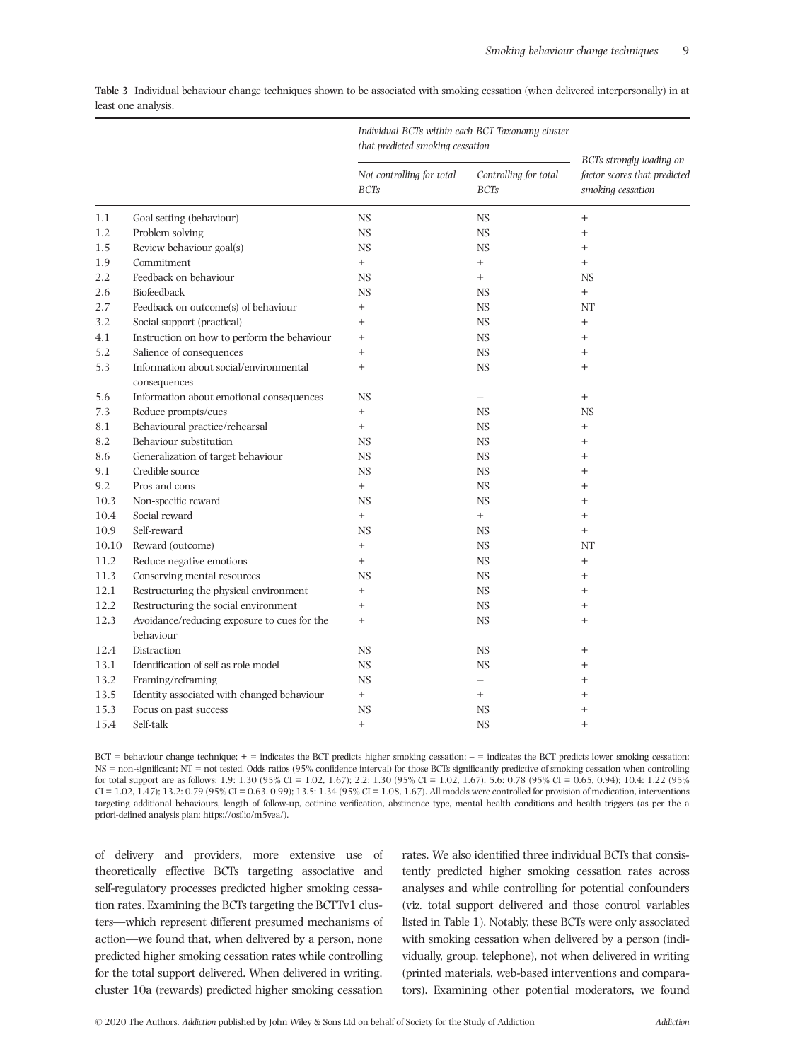| BCTs strongly loading on<br>Controlling for total<br>factor scores that predicted<br>Not controlling for total<br>smoking cessation<br><b>BCTs</b><br><b>BCTs</b><br>1.1<br>Goal setting (behaviour)<br><b>NS</b><br><b>NS</b><br>$^{+}$<br>Problem solving<br>1.2<br><b>NS</b><br><b>NS</b><br>$^{+}$<br>Review behaviour goal(s)<br><b>NS</b><br>1.5<br><b>NS</b><br>$^{+}$<br>Commitment<br>1.9<br>$^{+}$<br>$^{+}$<br>$^{+}$<br>2.2<br>Feedback on behaviour<br><b>NS</b><br>$^{+}$<br><b>NS</b><br>Biofeedback<br><b>NS</b><br>2.6<br><b>NS</b><br>$^{+}$<br>Feedback on outcome(s) of behaviour<br>2.7<br>$^{+}$<br><b>NS</b><br>NΤ<br>Social support (practical)<br>3.2<br>$^{+}$<br><b>NS</b><br>$^{+}$<br>Instruction on how to perform the behaviour<br>4.1<br>$^{+}$<br><b>NS</b><br>$^{+}$<br>Salience of consequences<br>5.2<br><b>NS</b><br>$^{+}$<br>$^{+}$<br>Information about social/environmental<br>5.3<br><b>NS</b><br>$^{+}$<br>$^{+}$ |  |
|--------------------------------------------------------------------------------------------------------------------------------------------------------------------------------------------------------------------------------------------------------------------------------------------------------------------------------------------------------------------------------------------------------------------------------------------------------------------------------------------------------------------------------------------------------------------------------------------------------------------------------------------------------------------------------------------------------------------------------------------------------------------------------------------------------------------------------------------------------------------------------------------------------------------------------------------------------------|--|
|                                                                                                                                                                                                                                                                                                                                                                                                                                                                                                                                                                                                                                                                                                                                                                                                                                                                                                                                                              |  |
|                                                                                                                                                                                                                                                                                                                                                                                                                                                                                                                                                                                                                                                                                                                                                                                                                                                                                                                                                              |  |
|                                                                                                                                                                                                                                                                                                                                                                                                                                                                                                                                                                                                                                                                                                                                                                                                                                                                                                                                                              |  |
|                                                                                                                                                                                                                                                                                                                                                                                                                                                                                                                                                                                                                                                                                                                                                                                                                                                                                                                                                              |  |
|                                                                                                                                                                                                                                                                                                                                                                                                                                                                                                                                                                                                                                                                                                                                                                                                                                                                                                                                                              |  |
|                                                                                                                                                                                                                                                                                                                                                                                                                                                                                                                                                                                                                                                                                                                                                                                                                                                                                                                                                              |  |
|                                                                                                                                                                                                                                                                                                                                                                                                                                                                                                                                                                                                                                                                                                                                                                                                                                                                                                                                                              |  |
|                                                                                                                                                                                                                                                                                                                                                                                                                                                                                                                                                                                                                                                                                                                                                                                                                                                                                                                                                              |  |
|                                                                                                                                                                                                                                                                                                                                                                                                                                                                                                                                                                                                                                                                                                                                                                                                                                                                                                                                                              |  |
|                                                                                                                                                                                                                                                                                                                                                                                                                                                                                                                                                                                                                                                                                                                                                                                                                                                                                                                                                              |  |
|                                                                                                                                                                                                                                                                                                                                                                                                                                                                                                                                                                                                                                                                                                                                                                                                                                                                                                                                                              |  |
|                                                                                                                                                                                                                                                                                                                                                                                                                                                                                                                                                                                                                                                                                                                                                                                                                                                                                                                                                              |  |
| consequences                                                                                                                                                                                                                                                                                                                                                                                                                                                                                                                                                                                                                                                                                                                                                                                                                                                                                                                                                 |  |
| Information about emotional consequences<br><b>NS</b><br>5.6<br>$^{+}$<br>$\overline{\phantom{0}}$                                                                                                                                                                                                                                                                                                                                                                                                                                                                                                                                                                                                                                                                                                                                                                                                                                                           |  |
| Reduce prompts/cues<br>7.3<br>$^{+}$<br><b>NS</b><br><b>NS</b>                                                                                                                                                                                                                                                                                                                                                                                                                                                                                                                                                                                                                                                                                                                                                                                                                                                                                               |  |
| Behavioural practice/rehearsal<br>8.1<br>$^{+}$<br><b>NS</b><br>$^{+}$                                                                                                                                                                                                                                                                                                                                                                                                                                                                                                                                                                                                                                                                                                                                                                                                                                                                                       |  |
| 8.2<br>Behaviour substitution<br><b>NS</b><br><b>NS</b><br>$^{+}$                                                                                                                                                                                                                                                                                                                                                                                                                                                                                                                                                                                                                                                                                                                                                                                                                                                                                            |  |
| 8.6<br>Generalization of target behaviour<br><b>NS</b><br><b>NS</b><br>$^{+}$                                                                                                                                                                                                                                                                                                                                                                                                                                                                                                                                                                                                                                                                                                                                                                                                                                                                                |  |
| 9.1<br>Credible source<br><b>NS</b><br><b>NS</b><br>$^{+}$                                                                                                                                                                                                                                                                                                                                                                                                                                                                                                                                                                                                                                                                                                                                                                                                                                                                                                   |  |
| 9.2<br>Pros and cons<br>$^{+}$<br><b>NS</b><br>$^{+}$                                                                                                                                                                                                                                                                                                                                                                                                                                                                                                                                                                                                                                                                                                                                                                                                                                                                                                        |  |
| 10.3<br>Non-specific reward<br><b>NS</b><br><b>NS</b><br>$^{+}$                                                                                                                                                                                                                                                                                                                                                                                                                                                                                                                                                                                                                                                                                                                                                                                                                                                                                              |  |
| Social reward<br>10.4<br>$^{+}$<br>$^{+}$<br>$^{+}$                                                                                                                                                                                                                                                                                                                                                                                                                                                                                                                                                                                                                                                                                                                                                                                                                                                                                                          |  |
| Self-reward<br>10.9<br><b>NS</b><br><b>NS</b><br>$^{+}$                                                                                                                                                                                                                                                                                                                                                                                                                                                                                                                                                                                                                                                                                                                                                                                                                                                                                                      |  |
| Reward (outcome)<br>10.10<br><b>NS</b><br>NT<br>$^{+}$                                                                                                                                                                                                                                                                                                                                                                                                                                                                                                                                                                                                                                                                                                                                                                                                                                                                                                       |  |
| Reduce negative emotions<br>11.2<br>$^{+}$<br><b>NS</b><br>$^{+}$                                                                                                                                                                                                                                                                                                                                                                                                                                                                                                                                                                                                                                                                                                                                                                                                                                                                                            |  |
| 11.3<br>Conserving mental resources<br><b>NS</b><br><b>NS</b><br>$^{+}$                                                                                                                                                                                                                                                                                                                                                                                                                                                                                                                                                                                                                                                                                                                                                                                                                                                                                      |  |
| Restructuring the physical environment<br>12.1<br><b>NS</b><br>$^{+}$<br>$^{+}$                                                                                                                                                                                                                                                                                                                                                                                                                                                                                                                                                                                                                                                                                                                                                                                                                                                                              |  |
| Restructuring the social environment<br>12.2<br><b>NS</b><br>$^{+}$<br>$^{+}$                                                                                                                                                                                                                                                                                                                                                                                                                                                                                                                                                                                                                                                                                                                                                                                                                                                                                |  |
| Avoidance/reducing exposure to cues for the<br><b>NS</b><br>12.3<br>$^{+}$<br>$^{+}$<br>behaviour                                                                                                                                                                                                                                                                                                                                                                                                                                                                                                                                                                                                                                                                                                                                                                                                                                                            |  |
| 12.4<br>Distraction<br><b>NS</b><br><b>NS</b><br>$^+$                                                                                                                                                                                                                                                                                                                                                                                                                                                                                                                                                                                                                                                                                                                                                                                                                                                                                                        |  |
| <b>NS</b><br><b>NS</b><br>13.1<br>Identification of self as role model<br>$\overline{+}$                                                                                                                                                                                                                                                                                                                                                                                                                                                                                                                                                                                                                                                                                                                                                                                                                                                                     |  |

**Table 3** Individual behaviour change techniques shown to be associated with smoking cessation (when delivered interpersonally) in at least one analysis.

 $BCT =$  behaviour change technique;  $+$  = indicates the BCT predicts higher smoking cessation;  $-$  = indicates the BCT predicts lower smoking cessation; NS = non-significant; NT = not tested. Odds ratios (95% confidence interval) for those BCTs significantly predictive of smoking cessation when controlling for total support are as follows: 1.9: 1.30 (95% CI = 1.02, 1.67); 2.2: 1.30 (95% CI = 1.02, 1.67); 5.6: 0.78 (95% CI = 0.65, 0.94); 10.4: 1.22 (95% CI = 1.02, 1.47); 13.2: 0.79 (95% CI = 0.63, 0.99); 13.5: 1.34 (95% CI = 1.08, 1.67). All models were controlled for provision of medication, interventions targeting additional behaviours, length of follow-up, cotinine verification, abstinence type, mental health conditions and health triggers (as per the a priori-defined analysis plan:<https://osf.io/m5vea/>).

13.2 Framing/reframing<br>
13.5 Identity associated with changed behaviour<br>  $+$   $+$   $+$ 

15.3 Focus on past success NS NS NS + 15.4 Self-talk + NS +

of delivery and providers, more extensive use of theoretically effective BCTs targeting associative and self-regulatory processes predicted higher smoking cessation rates. Examining the BCTs targeting the BCTTv1 clusters—which represent different presumed mechanisms of action—we found that, when delivered by a person, none predicted higher smoking cessation rates while controlling for the total support delivered. When delivered in writing, cluster 10a (rewards) predicted higher smoking cessation

13.5 Identity associated with changed behaviour +

rates. We also identified three individual BCTs that consistently predicted higher smoking cessation rates across analyses and while controlling for potential confounders (viz. total support delivered and those control variables listed in Table 1). Notably, these BCTs were only associated with smoking cessation when delivered by a person (individually, group, telephone), not when delivered in writing (printed materials, web-based interventions and comparators). Examining other potential moderators, we found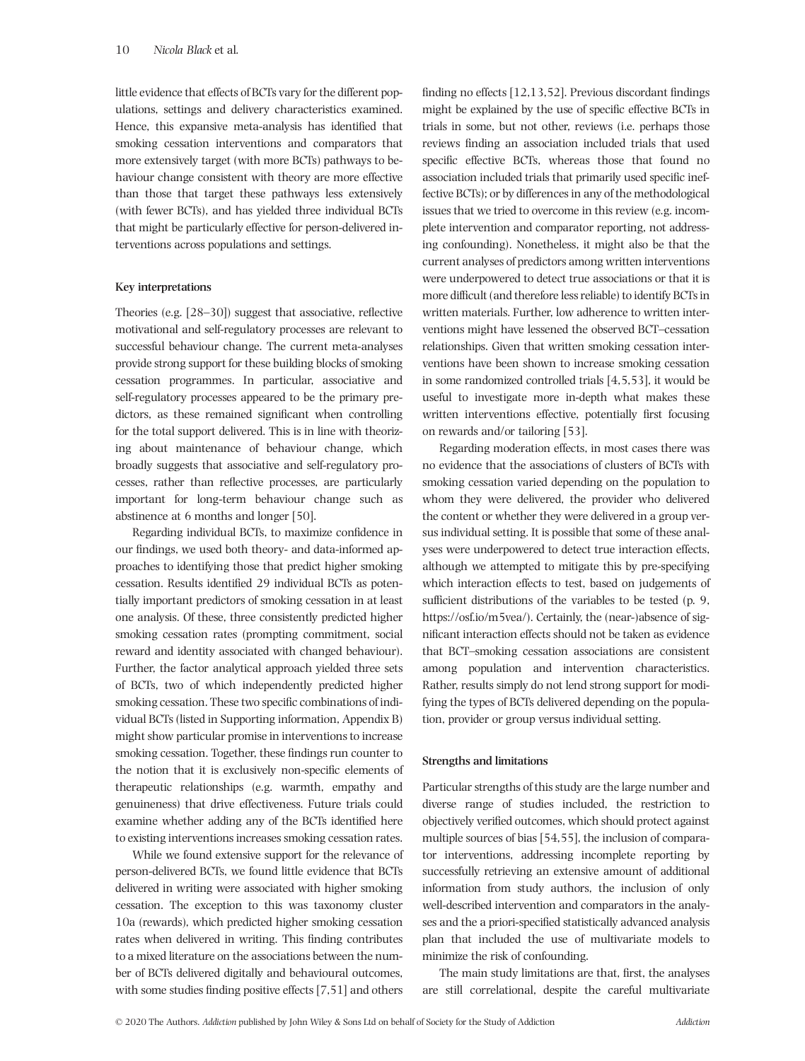little evidence that effects of BCTs vary for the different populations, settings and delivery characteristics examined. Hence, this expansive meta-analysis has identified that smoking cessation interventions and comparators that more extensively target (with more BCTs) pathways to behaviour change consistent with theory are more effective than those that target these pathways less extensively (with fewer BCTs), and has yielded three individual BCTs that might be particularly effective for person-delivered interventions across populations and settings.

#### **Key interpretations**

Theories (e.g. [28–30]) suggest that associative, reflective motivational and self-regulatory processes are relevant to successful behaviour change. The current meta-analyses provide strong support for these building blocks of smoking cessation programmes. In particular, associative and self-regulatory processes appeared to be the primary predictors, as these remained significant when controlling for the total support delivered. This is in line with theorizing about maintenance of behaviour change, which broadly suggests that associative and self-regulatory processes, rather than reflective processes, are particularly important for long-term behaviour change such as abstinence at 6 months and longer [50].

Regarding individual BCTs, to maximize confidence in our findings, we used both theory- and data-informed approaches to identifying those that predict higher smoking cessation. Results identified 29 individual BCTs as potentially important predictors of smoking cessation in at least one analysis. Of these, three consistently predicted higher smoking cessation rates (prompting commitment, social reward and identity associated with changed behaviour). Further, the factor analytical approach yielded three sets of BCTs, two of which independently predicted higher smoking cessation. These two specific combinations of individual BCTs (listed in Supporting information, Appendix B) might show particular promise in interventions to increase smoking cessation. Together, these findings run counter to the notion that it is exclusively non-specific elements of therapeutic relationships (e.g. warmth, empathy and genuineness) that drive effectiveness. Future trials could examine whether adding any of the BCTs identified here to existing interventions increases smoking cessation rates.

While we found extensive support for the relevance of person-delivered BCTs, we found little evidence that BCTs delivered in writing were associated with higher smoking cessation. The exception to this was taxonomy cluster 10a (rewards), which predicted higher smoking cessation rates when delivered in writing. This finding contributes to a mixed literature on the associations between the number of BCTs delivered digitally and behavioural outcomes, with some studies finding positive effects [7,51] and others

finding no effects [12,13,52]. Previous discordant findings might be explained by the use of specific effective BCTs in trials in some, but not other, reviews (i.e. perhaps those reviews finding an association included trials that used specific effective BCTs, whereas those that found no association included trials that primarily used specific ineffective BCTs); or by differences in any of the methodological issues that we tried to overcome in this review (e.g. incomplete intervention and comparator reporting, not addressing confounding). Nonetheless, it might also be that the current analyses of predictors among written interventions were underpowered to detect true associations or that it is more difficult (and therefore less reliable) to identify BCTs in written materials. Further, low adherence to written interventions might have lessened the observed BCT–cessation relationships. Given that written smoking cessation interventions have been shown to increase smoking cessation in some randomized controlled trials [4,5,53], it would be useful to investigate more in-depth what makes these written interventions effective, potentially first focusing on rewards and/or tailoring [53].

Regarding moderation effects, in most cases there was no evidence that the associations of clusters of BCTs with smoking cessation varied depending on the population to whom they were delivered, the provider who delivered the content or whether they were delivered in a group versus individual setting. It is possible that some of these analyses were underpowered to detect true interaction effects, although we attempted to mitigate this by pre-specifying which interaction effects to test, based on judgements of sufficient distributions of the variables to be tested (p. 9, <https://osf.io/m5vea/>). Certainly, the (near-)absence of significant interaction effects should not be taken as evidence that BCT–smoking cessation associations are consistent among population and intervention characteristics. Rather, results simply do not lend strong support for modifying the types of BCTs delivered depending on the population, provider or group versus individual setting.

# **Strengths and limitations**

Particular strengths of this study are the large number and diverse range of studies included, the restriction to objectively verified outcomes, which should protect against multiple sources of bias [54,55], the inclusion of comparator interventions, addressing incomplete reporting by successfully retrieving an extensive amount of additional information from study authors, the inclusion of only well-described intervention and comparators in the analyses and the a priori-specified statistically advanced analysis plan that included the use of multivariate models to minimize the risk of confounding.

The main study limitations are that, first, the analyses are still correlational, despite the careful multivariate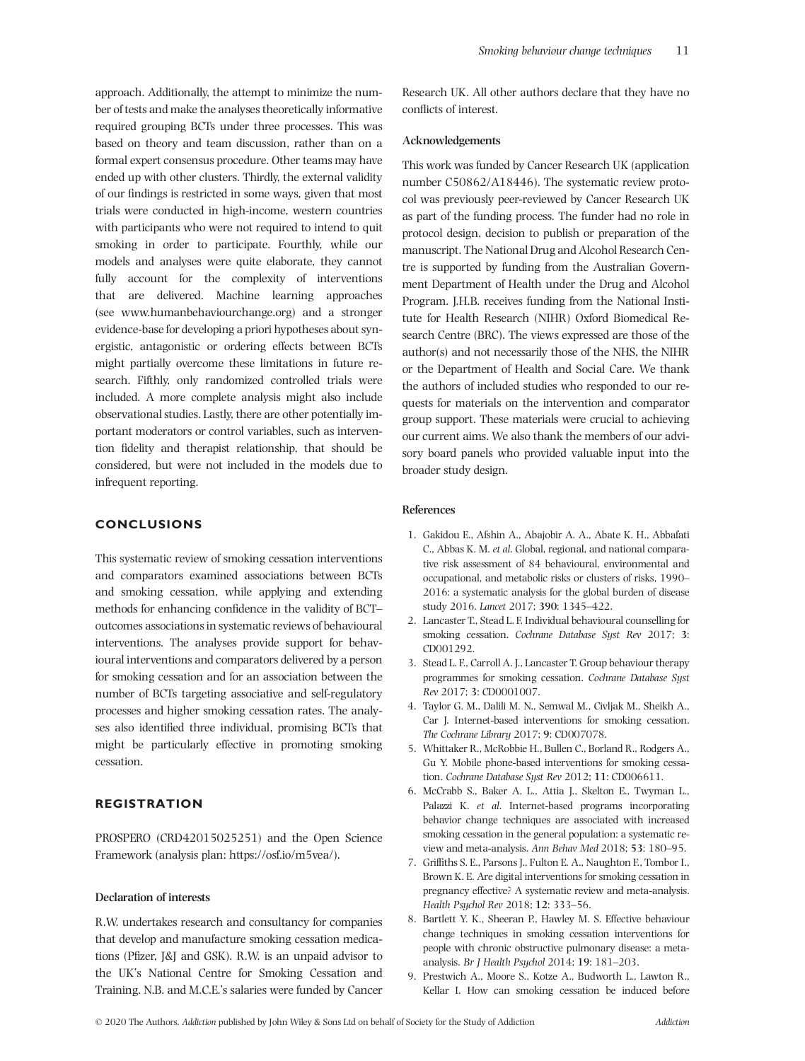approach. Additionally, the attempt to minimize the number of tests and make the analyses theoretically informative required grouping BCTs under three processes. This was based on theory and team discussion, rather than on a formal expert consensus procedure. Other teams may have ended up with other clusters. Thirdly, the external validity of our findings is restricted in some ways, given that most trials were conducted in high-income, western countries with participants who were not required to intend to quit smoking in order to participate. Fourthly, while our models and analyses were quite elaborate, they cannot fully account for the complexity of interventions that are delivered. Machine learning approaches (see [www.humanbehaviourchange.org](http://www.humanbehaviourchange.org)) and a stronger evidence-base for developing a priori hypotheses about synergistic, antagonistic or ordering effects between BCTs might partially overcome these limitations in future research. Fifthly, only randomized controlled trials were included. A more complete analysis might also include observational studies. Lastly, there are other potentially important moderators or control variables, such as intervention fidelity and therapist relationship, that should be considered, but were not included in the models due to infrequent reporting.

# **CONCLUSIONS**

This systematic review of smoking cessation interventions and comparators examined associations between BCTs and smoking cessation, while applying and extending methods for enhancing confidence in the validity of BCT– outcomes associations in systematic reviews of behavioural interventions. The analyses provide support for behavioural interventions and comparators delivered by a person for smoking cessation and for an association between the number of BCTs targeting associative and self-regulatory processes and higher smoking cessation rates. The analyses also identified three individual, promising BCTs that might be particularly effective in promoting smoking cessation.

# **REGISTRATION**

PROSPERO (CRD42015025251) and the Open Science Framework (analysis plan:<https://osf.io/m5vea/>).

#### **Declaration of interests**

R.W. undertakes research and consultancy for companies that develop and manufacture smoking cessation medications (Pfizer, J&J and GSK). R.W. is an unpaid advisor to the UK's National Centre for Smoking Cessation and Training. N.B. and M.C.E.'s salaries were funded by Cancer Research UK. All other authors declare that they have no conflicts of interest.

#### **Acknowledgements**

This work was funded by Cancer Research UK (application number C50862/A18446). The systematic review protocol was previously peer-reviewed by Cancer Research UK as part of the funding process. The funder had no role in protocol design, decision to publish or preparation of the manuscript. The National Drug and Alcohol Research Centre is supported by funding from the Australian Government Department of Health under the Drug and Alcohol Program. J.H.B. receives funding from the National Institute for Health Research (NIHR) Oxford Biomedical Research Centre (BRC). The views expressed are those of the author(s) and not necessarily those of the NHS, the NIHR or the Department of Health and Social Care. We thank the authors of included studies who responded to our requests for materials on the intervention and comparator group support. These materials were crucial to achieving our current aims. We also thank the members of our advisory board panels who provided valuable input into the broader study design.

# **References**

- 1. Gakidou E., Afshin A., Abajobir A. A., Abate K. H., Abbafati C., Abbas K. M. *et al*. Global, regional, and national comparative risk assessment of 84 behavioural, environmental and occupational, and metabolic risks or clusters of risks, 1990– 2016: a systematic analysis for the global burden of disease study 2016. *Lancet* 2017; **390**: 1345–422.
- 2. Lancaster T., Stead L. F. Individual behavioural counselling for smoking cessation. *Cochrane Database Syst Rev* 2017; **3**: CD001292.
- 3. Stead L. F., Carroll A. J., Lancaster T. Group behaviour therapy programmes for smoking cessation. *Cochrane Database Syst Rev* 2017; **3**: CD0001007.
- 4. Taylor G. M., Dalili M. N., Semwal M., Civljak M., Sheikh A., Car J. Internet-based interventions for smoking cessation. *The Cochrane Library* 2017; **9**: CD007078.
- 5. Whittaker R., McRobbie H., Bullen C., Borland R., Rodgers A., Gu Y. Mobile phone-based interventions for smoking cessation. *Cochrane Database Syst Rev* 2012; **11**: CD006611.
- 6. McCrabb S., Baker A. L., Attia J., Skelton E., Twyman L., Palazzi K. *et al*. Internet-based programs incorporating behavior change techniques are associated with increased smoking cessation in the general population: a systematic review and meta-analysis. *Ann Behav Med* 2018; **53**: 180–95.
- 7. Griffiths S. E., Parsons J., Fulton E. A., Naughton F., Tombor I., Brown K. E. Are digital interventions for smoking cessation in pregnancy effective? A systematic review and meta-analysis. *Health Psychol Rev* 2018; **12**: 333–56.
- 8. Bartlett Y. K., Sheeran P., Hawley M. S. Effective behaviour change techniques in smoking cessation interventions for people with chronic obstructive pulmonary disease: a metaanalysis. *Br J Health Psychol* 2014; **19**: 181–203.
- 9. Prestwich A., Moore S., Kotze A., Budworth L., Lawton R., Kellar I. How can smoking cessation be induced before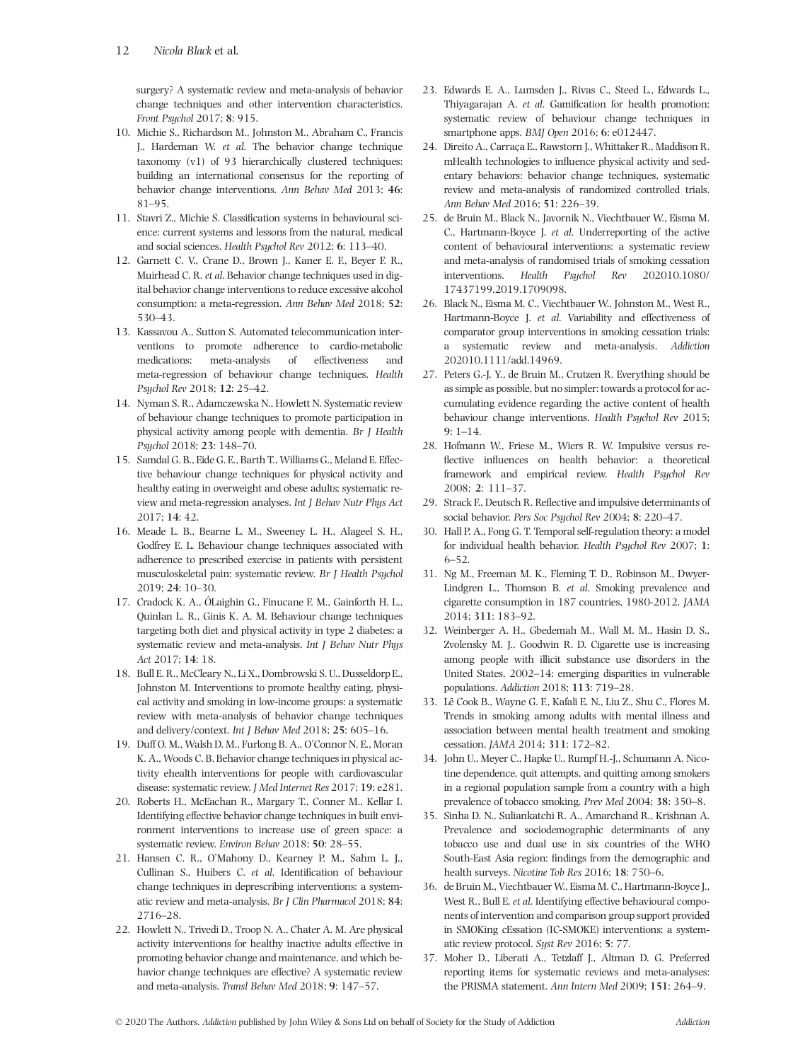surgery? A systematic review and meta-analysis of behavior change techniques and other intervention characteristics. *Front Psychol* 2017; **8**: 915.

- 10. Michie S., Richardson M., Johnston M., Abraham C., Francis J., Hardeman W. *et al*. The behavior change technique taxonomy (v1) of 93 hierarchically clustered techniques: building an international consensus for the reporting of behavior change interventions. *Ann Behav Med* 2013; **46**: 81–95.
- 11. Stavri Z., Michie S. Classification systems in behavioural science: current systems and lessons from the natural, medical and social sciences. *Health Psychol Rev* 2012; **6**: 113–40.
- 12. Garnett C. V., Crane D., Brown J., Kaner E. F., Beyer F. R., Muirhead C. R. *et al*. Behavior change techniques used in digital behavior change interventions to reduce excessive alcohol consumption: a meta-regression. *Ann Behav Med* 2018; **52**: 530–43.
- 13. Kassavou A., Sutton S. Automated telecommunication interventions to promote adherence to cardio-metabolic medications: meta-analysis of effectiveness and meta-regression of behaviour change techniques. *Health Psychol Rev* 2018; **12**: 25–42.
- 14. Nyman S. R., Adamczewska N., Howlett N. Systematic review of behaviour change techniques to promote participation in physical activity among people with dementia. *Br J Health Psychol* 2018; **23**: 148–70.
- 15. Samdal G. B., Eide G. E., Barth T., Williams G., Meland E. Effective behaviour change techniques for physical activity and healthy eating in overweight and obese adults; systematic review and meta-regression analyses. *Int J Behav Nutr Phys Act* 2017; **14**: 42.
- 16. Meade L. B., Bearne L. M., Sweeney L. H., Alageel S. H., Godfrey E. L. Behaviour change techniques associated with adherence to prescribed exercise in patients with persistent musculoskeletal pain: systematic review. *Br J Health Psychol* 2019; **24**: 10–30.
- 17. Cradock K. A., ÓLaighin G., Finucane F. M., Gainforth H. L., Quinlan L. R., Ginis K. A. M. Behaviour change techniques targeting both diet and physical activity in type 2 diabetes: a systematic review and meta-analysis. *Int J Behav Nutr Phys Act* 2017; **14**: 18.
- 18. Bull E. R., McCleary N., Li X., Dombrowski S. U., Dusseldorp E., Johnston M. Interventions to promote healthy eating, physical activity and smoking in low-income groups: a systematic review with meta-analysis of behavior change techniques and delivery/context. *Int J Behav Med* 2018; **25**: 605–16.
- 19. Duff O. M., Walsh D. M., Furlong B. A., O'Connor N. E., Moran K. A., Woods C. B. Behavior change techniques in physical activity ehealth interventions for people with cardiovascular disease: systematic review. *J Med Internet Res* 2017; **19**: e281.
- 20. Roberts H., McEachan R., Margary T., Conner M., Kellar I. Identifying effective behavior change techniques in built environment interventions to increase use of green space: a systematic review. *Environ Behav* 2018; **50**: 28–55.
- 21. Hansen C. R., O'Mahony D., Kearney P. M., Sahm L. J., Cullinan S., Huibers C. *et al*. Identification of behaviour change techniques in deprescribing interventions: a systematic review and meta-analysis. *Br J Clin Pharmacol* 2018; **84**: 2716–28.
- 22. Howlett N., Trivedi D., Troop N. A., Chater A. M. Are physical activity interventions for healthy inactive adults effective in promoting behavior change and maintenance, and which behavior change techniques are effective? A systematic review and meta-analysis. *Transl Behav Med* 2018; **9**: 147–57.
- 23. Edwards E. A., Lumsden J., Rivas C., Steed L., Edwards L., Thiyagarajan A. *et al*. Gamification for health promotion: systematic review of behaviour change techniques in smartphone apps. *BMJ Open* 2016; **6**: e012447.
- 24. Direito A., Carraça E., Rawstorn J., Whittaker R., Maddison R. mHealth technologies to influence physical activity and sedentary behaviors: behavior change techniques, systematic review and meta-analysis of randomized controlled trials. *Ann Behav Med* 2016; **51**: 226–39.
- 25. de Bruin M., Black N., Javornik N., Viechtbauer W., Eisma M. C., Hartmann-Boyce J. *et al*. Underreporting of the active content of behavioural interventions: a systematic review and meta-analysis of randomised trials of smoking cessation interventions. *Health Psychol Rev* 202010.1080/ 17437199.2019.1709098.
- 26. Black N., Eisma M. C., Viechtbauer W., Johnston M., West R., Hartmann-Boyce J. *et al*. Variability and effectiveness of comparator group interventions in smoking cessation trials: a systematic review and meta-analysis. *Addiction* 202010.1111/add.14969.
- 27. Peters G.-J. Y., de Bruin M., Crutzen R. Everything should be as simple as possible, but no simpler: towards a protocol for accumulating evidence regarding the active content of health behaviour change interventions. *Health Psychol Rev* 2015; **9**: 1–14.
- 28. Hofmann W., Friese M., Wiers R. W. Impulsive versus reflective influences on health behavior: a theoretical framework and empirical review. *Health Psychol Rev* 2008; **2**: 111–37.
- 29. Strack F., Deutsch R. Reflective and impulsive determinants of social behavior. *Pers Soc Psychol Rev* 2004; **8**: 220–47.
- 30. Hall P. A., Fong G. T. Temporal self-regulation theory: a model for individual health behavior. *Health Psychol Rev* 2007; **1**: 6–52.
- 31. Ng M., Freeman M. K., Fleming T. D., Robinson M., Dwyer-Lindgren L., Thomson B. *et al*. Smoking prevalence and cigarette consumption in 187 countries, 1980-2012. *JAMA* 2014; **311**: 183–92.
- 32. Weinberger A. H., Gbedemah M., Wall M. M., Hasin D. S., Zvolensky M. J., Goodwin R. D. Cigarette use is increasing among people with illicit substance use disorders in the United States, 2002–14: emerging disparities in vulnerable populations. *Addiction* 2018; **113**: 719–28.
- 33. Lê Cook B., Wayne G. F., Kafali E. N., Liu Z., Shu C., Flores M. Trends in smoking among adults with mental illness and association between mental health treatment and smoking cessation. *JAMA* 2014; **311**: 172–82.
- 34. John U., Meyer C., Hapke U., Rumpf H.-J., Schumann A. Nicotine dependence, quit attempts, and quitting among smokers in a regional population sample from a country with a high prevalence of tobacco smoking. *Prev Med* 2004; **38**: 350–8.
- 35. Sinha D. N., Suliankatchi R. A., Amarchand R., Krishnan A. Prevalence and sociodemographic determinants of any tobacco use and dual use in six countries of the WHO South-East Asia region: findings from the demographic and health surveys. *Nicotine Tob Res* 2016; **18**: 750–6.
- 36. de Bruin M., Viechtbauer W., Eisma M. C., Hartmann-Boyce J., West R., Bull E. *et al*. Identifying effective behavioural components of intervention and comparison group support provided in SMOKing cEssation (IC-SMOKE) interventions: a systematic review protocol. *Syst Rev* 2016; **5**: 77.
- 37. Moher D., Liberati A., Tetzlaff J., Altman D. G. Preferred reporting items for systematic reviews and meta-analyses: the PRISMA statement. *Ann Intern Med* 2009; **151**: 264–9.